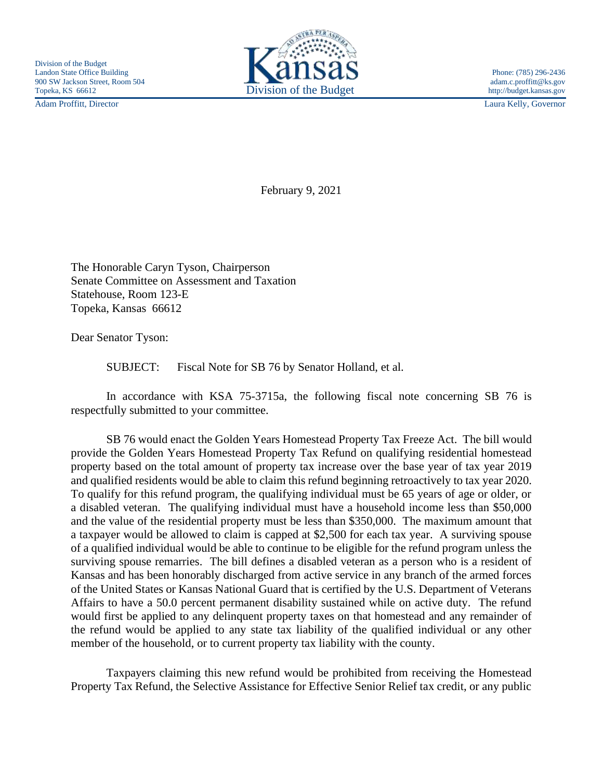Adam Proffitt, Director Laura Kelly, Governor



February 9, 2021

The Honorable Caryn Tyson, Chairperson Senate Committee on Assessment and Taxation Statehouse, Room 123-E Topeka, Kansas 66612

Dear Senator Tyson:

SUBJECT: Fiscal Note for SB 76 by Senator Holland, et al.

In accordance with KSA 75-3715a, the following fiscal note concerning SB 76 is respectfully submitted to your committee.

SB 76 would enact the Golden Years Homestead Property Tax Freeze Act. The bill would provide the Golden Years Homestead Property Tax Refund on qualifying residential homestead property based on the total amount of property tax increase over the base year of tax year 2019 and qualified residents would be able to claim this refund beginning retroactively to tax year 2020. To qualify for this refund program, the qualifying individual must be 65 years of age or older, or a disabled veteran. The qualifying individual must have a household income less than \$50,000 and the value of the residential property must be less than \$350,000. The maximum amount that a taxpayer would be allowed to claim is capped at \$2,500 for each tax year. A surviving spouse of a qualified individual would be able to continue to be eligible for the refund program unless the surviving spouse remarries. The bill defines a disabled veteran as a person who is a resident of Kansas and has been honorably discharged from active service in any branch of the armed forces of the United States or Kansas National Guard that is certified by the U.S. Department of Veterans Affairs to have a 50.0 percent permanent disability sustained while on active duty. The refund would first be applied to any delinquent property taxes on that homestead and any remainder of the refund would be applied to any state tax liability of the qualified individual or any other member of the household, or to current property tax liability with the county.

Taxpayers claiming this new refund would be prohibited from receiving the Homestead Property Tax Refund, the Selective Assistance for Effective Senior Relief tax credit, or any public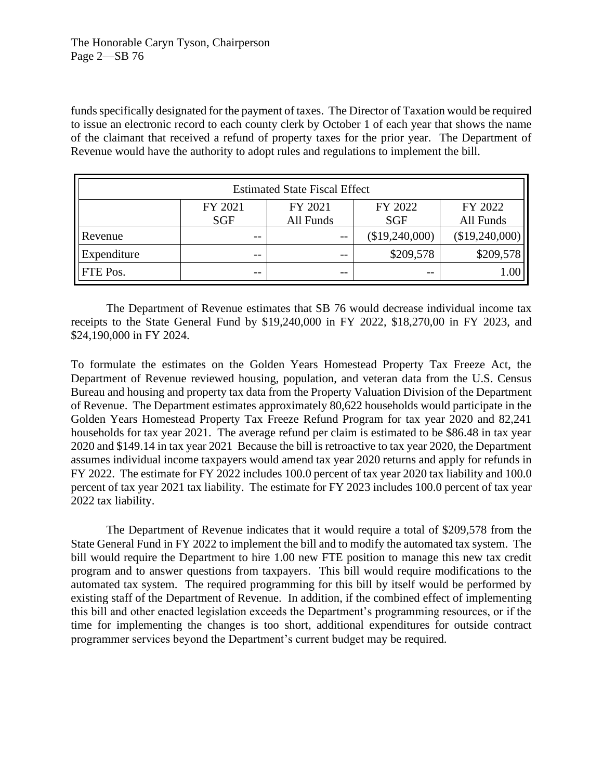funds specifically designated for the payment of taxes. The Director of Taxation would be required to issue an electronic record to each county clerk by October 1 of each year that shows the name of the claimant that received a refund of property taxes for the prior year. The Department of Revenue would have the authority to adopt rules and regulations to implement the bill.

| <b>Estimated State Fiscal Effect</b> |            |           |                |                |
|--------------------------------------|------------|-----------|----------------|----------------|
|                                      | FY 2021    | FY 2021   | FY 2022        | FY 2022        |
|                                      | <b>SGF</b> | All Funds | <b>SGF</b>     | All Funds      |
| Revenue                              | $- -$      | $ -$      | (\$19,240,000) | (\$19,240,000) |
| Expenditure                          | --         | --        | \$209,578      | \$209,578      |
| FTE Pos.                             | $- -$      | $ -$      | $ -$           |                |

The Department of Revenue estimates that SB 76 would decrease individual income tax receipts to the State General Fund by \$19,240,000 in FY 2022, \$18,270,00 in FY 2023, and \$24,190,000 in FY 2024.

To formulate the estimates on the Golden Years Homestead Property Tax Freeze Act, the Department of Revenue reviewed housing, population, and veteran data from the U.S. Census Bureau and housing and property tax data from the Property Valuation Division of the Department of Revenue. The Department estimates approximately 80,622 households would participate in the Golden Years Homestead Property Tax Freeze Refund Program for tax year 2020 and 82,241 households for tax year 2021. The average refund per claim is estimated to be \$86.48 in tax year 2020 and \$149.14 in tax year 2021 Because the bill is retroactive to tax year 2020, the Department assumes individual income taxpayers would amend tax year 2020 returns and apply for refunds in FY 2022. The estimate for FY 2022 includes 100.0 percent of tax year 2020 tax liability and 100.0 percent of tax year 2021 tax liability. The estimate for FY 2023 includes 100.0 percent of tax year 2022 tax liability.

The Department of Revenue indicates that it would require a total of \$209,578 from the State General Fund in FY 2022 to implement the bill and to modify the automated tax system. The bill would require the Department to hire 1.00 new FTE position to manage this new tax credit program and to answer questions from taxpayers. This bill would require modifications to the automated tax system. The required programming for this bill by itself would be performed by existing staff of the Department of Revenue. In addition, if the combined effect of implementing this bill and other enacted legislation exceeds the Department's programming resources, or if the time for implementing the changes is too short, additional expenditures for outside contract programmer services beyond the Department's current budget may be required.